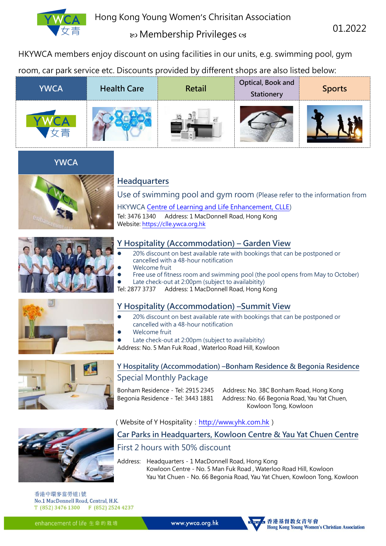

# **ED** Membership Privileges  $\infty$

01.2022

HKYWCA members enjoy discount on using facilities in our units, e.g. swimming pool, gym

room, car park service etc. Discounts provided by different shops are also listed below:

| <b>YWCA</b> | <b>Health Care</b> | Retail | Optical, Book and<br>Stationery | <b>Sports</b> |
|-------------|--------------------|--------|---------------------------------|---------------|
|             |                    |        |                                 |               |





# **Headquarters**

Use of swimming pool and gym room (Please refer to the information from

HKYWCA [Centre of Learning and Life Enhancement, CLLE\)](https://clle.ywca.org.hk/)

Tel: 3476 1340 Address: 1 MacDonnell Road, Hong Kong Website[: https://clle.ywca.org.hk](https://clle.ywca.org.hk/)



#### **Y Hospitality (Accommodation) – Garden View**

- 20% discount on best available rate with bookings that can be postponed or cancelled with a 48-hour notification
- Welcome fruit
- Free use of fitness room and swimming pool (the pool opens from May to October)

Late check-out at 2:00pm (subject to availabitity)

Tel: 2877 3737 Address: 1 MacDonnell Road, Hong Kong

# **Y Hospitality (Accommodation) –Summit View**

- 20% discount on best available rate with bookings that can be postponed or cancelled with a 48-hour notification
- Welcome fruit
- Late check-out at 2:00pm (subject to availabitity)

Address: No. 5 Man Fuk Road , Waterloo Road Hill, Kowloon



## **Y Hospitality (Accommodation) –Bonham Residence & Begonia Residence** Special Monthly Package

Bonham Residence - Tel: 2915 2345 Address: No. 38C Bonham Road, Hong Kong Begonia Residence - Tel: 3443 1881 Address: No. 66 Begonia Road, Yau Yat Chuen, Kowloon Tong, Kowloon

(Website of Y Hospitality: [http://www.yhk.com.hk](http://www.yhk.com.hk/))

## **Car Parks in Headquarters, Kowloon Centre & Yau Yat Chuen Centre**

# First 2 hours with 50% discount

Address: Headquarters-1 MacDonnell Road, Hong Kong Kowloon Centre-No. 5 Man Fuk Road , Waterloo Road Hill, Kowloon Yau Yat Chuen-No. 66 Begonia Road, Yau Yat Chuen, Kowloon Tong, Kowloon

香港中環麥當勞道1號 No.1 MacDonnell Road, Central, H.K. T (852) 3476 1300 F (852) 2524 4237

enhancement of life 生命的栽培

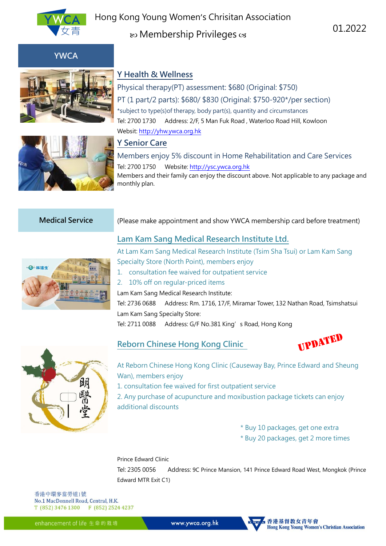

Hong Kong Young Women's Chrisitan Association text Membership Privileges cs

01.2022



**YWCA**

#### **Y Health & Wellness**

Physical therapy(PT) assessment: \$680 (Original: \$750) PT (1 part/2 parts): \$680/ \$830 (Original: \$750-920\*/per section) \*subject to type(s)of therapy, body part(s), quantity and circumstances Tel: 2700 1730 Address: 2/F, 5 Man Fuk Road , Waterloo Road Hill, Kowloon Websit[: http://yhw.ywca.org.hk](http://yhw.ywca.org.hk/)

# **Y Senior Care**

Members enjoy 5% discount in Home Rehabilitation and Care Services Tel: 2700 1750 Website[: http://ysc.ywca.org.hk](http://ysc.ywca.org.hk/) Members and their family can enjoy the discount above. Not applicable to any package and monthly plan.

# **Medical Service** (Please make appointment and show YWCA membership card before treatment)

#### **Lam Kam Sang Medical Research Institute Ltd.**



At Lam Kam Sang Medical Research Institute (Tsim Sha Tsui) or Lam Kam Sang Specialty Store (North Point), members enjoy

1. consultation fee waived for outpatient service

#### 2. 10% off on regular-priced items

Lam Kam Sang Medical Research Institute:

Tel: 2736 0688 Address: Rm. 1716, 17/F, Miramar Tower, 132 Nathan Road, Tsimshatsui Lam Kam Sang Specialty Store:

Tel: 2711 0088 Address: G/F No.381 King's Road, Hong Kong



#### **Reborn Chinese Hong Kong Clinic**



At Reborn Chinese Hong Kong Clinic (Causeway Bay, Prince Edward and Sheung Wan), members enjoy

1. consultation fee waived for first outpatient service

2. Any purchase of acupuncture and moxibustion package tickets can enjoy additional discounts

- \* Buy 10 packages, get one extra
- \* Buy 20 packages, get 2 more times

#### Prince Edward Clinic

Tel: 2305 0056 Address: 9C Prince Mansion, 141 Prince Edward Road West, Mongkok (Prince Edward MTR Exit C1)

香港中環麥當勞道1號 No.1 MacDonnell Road, Central, H.K. T (852) 3476 1300 F (852) 2524 4237

enhancement of life 生命的栽培

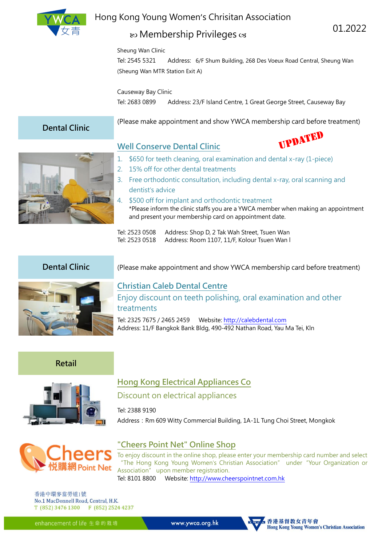

# Hong Kong Young Women's Chrisitan Association

# **ED** Membership Privileges  $\infty$

Sheung Wan Clinic

Tel: 2545 5321 Address: 6/F Shum Building, 268 Des Voeux Road Central, Sheung Wan (Sheung Wan MTR Station Exit A)

Causeway Bay Clinic

Tel: 2683 0899 Address: 23/F Island Centre, 1 Great George Street, Causeway Bay

# **Dental Clinic**

(Please make appointment and show YWCA membership card before treatment)



# **Well Conserve Dental Clinic**



01.2022

- 1. \$650 for teeth cleaning, oral examination and dental x-ray (1-piece)
- 2. 15% off for other dental treatments
- 3. Free orthodontic consultation, including dental x-ray, oral scanning and dentist's advice
- 4. \$500 off for implant and orthodontic treatment \*Please inform the clinic staffs you are a YWCA member when making an appointment and present your membership card on appointment date.
- Tel: 2523 0508 Address: Shop D, 2 Tak Wah Street, Tsuen Wan Tel: 2523 0518 Address: Room 1107, 11/F, Kolour Tsuen Wan l



# **Dental Clinic** (Please make appointment and show YWCA membership card before treatment)

# **Christian Caleb Dental Centre**

Enjoy discount on teeth polishing, oral examination and other treatments

Tel: 2325 7675 / 2465 2459 Website: [http://calebdental.com](http://calebdental.com/) Address: 11/F Bangkok Bank Bldg, 490-492 Nathan Road, Yau Ma Tei, Kln

## **Retail**



# **Hong Kong Electrical Appliances Co**

## Discount on electrical appliances

Tel: 2388 9190

Address: Rm 609 Witty Commercial Building, 1A-1L Tung Choi Street, Mongkok



## **"Cheers Point Net" Online Shop**

To enjoy discount in the online shop, please enter your membership card number and select "The Hong Kong Young Women's Christian Association" under"Your Organization or Association" upon member registration.

Tel: 8101 8800 Website: [http://www.cheerspointnet.com.hk](http://www.cheerspointnet.com.hk/)

香港中環麥當勞道1號 No.1 MacDonnell Road, Central, H.K. T (852) 3476 1300 F (852) 2524 4237

enhancement of life 生命的栽培

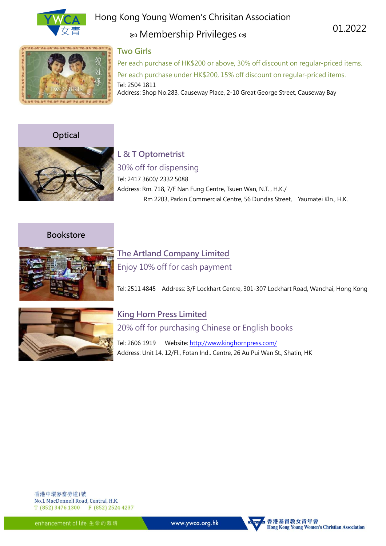

# Hong Kong Young Women's Chrisitan Association

# ® Membership Privileges <a

01.2022



### **Two Girls**

Per each purchase of HK\$200 or above, 30% off discount on regular-priced items. Per each purchase under HK\$200, 15% off discount on regular-priced items. Tel: 2504 1811 Address: Shop No.283, Causeway Place, 2-10 Great George Street, Causeway Bay

**Optical**



# **L & T Optometrist**

30% off for dispensing Tel: 2417 3600/ 2332 5088 Address: Rm. 718, 7/F Nan Fung Centre, Tsuen Wan, N.T. , H.K./ Rm 2203, Parkin Commercial Centre, 56 Dundas Street, Yaumatei Kln., H.K.

**Bookstore**



# **The Artland Company Limited**

Enjoy 10% off for cash payment

Tel: 2511 4845 Address: 3/F Lockhart Centre, 301-307 Lockhart Road, Wanchai, Hong Kong



# **King Horn Press Limited**

20% off for purchasing Chinese or English books

Tel: 2606 1919 Website[: http://www.kinghornpress.com/](http://www.kinghornpress.com/) Address: Unit 14, 12/Fl., Fotan Ind.. Centre, 26 Au Pui Wan St., Shatin, HK

香港中環麥當勞道1號 No.1 MacDonnell Road, Central, H.K. T (852) 3476 1300 F (852) 2524 4237